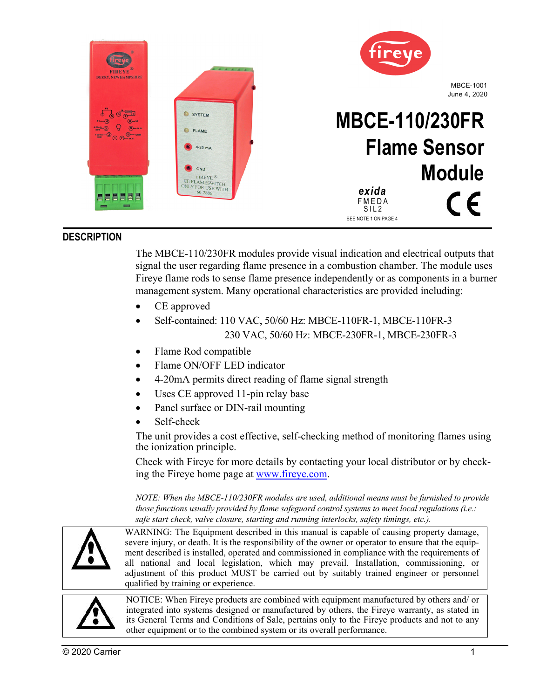

# **DESCRIPTION**

The MBCE-110/230FR modules provide visual indication and electrical outputs that signal the user regarding flame presence in a combustion chamber. The module uses Fireye flame rods to sense flame presence independently or as components in a burner management system. Many operational characteristics are provided including:

- CE approved
- Self-contained: 110 VAC, 50/60 Hz: MBCE-110FR-1, MBCE-110FR-3 230 VAC, 50/60 Hz: MBCE-230FR-1, MBCE-230FR-3
- Flame Rod compatible
- Flame ON/OFF LED indicator
- 4-20mA permits direct reading of flame signal strength
- Uses CE approved 11-pin relay base
- Panel surface or DIN-rail mounting
- Self-check

The unit provides a cost effective, self-checking method of monitoring flames using the ionization principle.

Check with Fireye for more details by contacting your local distributor or by checking the Fireye home page at www.fireye.com.

*NOTE: When the MBCE-110/230FR modules are used, additional means must be furnished to provide those functions usually provided by flame safeguard control systems to meet local regulations (i.e.: safe start check, valve closure, starting and running interlocks, safety timings, etc.).* 



WARNING: The Equipment described in this manual is capable of causing property damage, severe injury, or death. It is the responsibility of the owner or operator to ensure that the equipment described is installed, operated and commissioned in compliance with the requirements of all national and local legislation, which may prevail. Installation, commissioning, or adjustment of this product MUST be carried out by suitably trained engineer or personnel qualified by training or experience.



NOTICE: When Fireye products are combined with equipment manufactured by others and/ or integrated into systems designed or manufactured by others, the Fireye warranty, as stated in its General Terms and Conditions of Sale, pertains only to the Fireye products and not to any other equipment or to the combined system or its overall performance.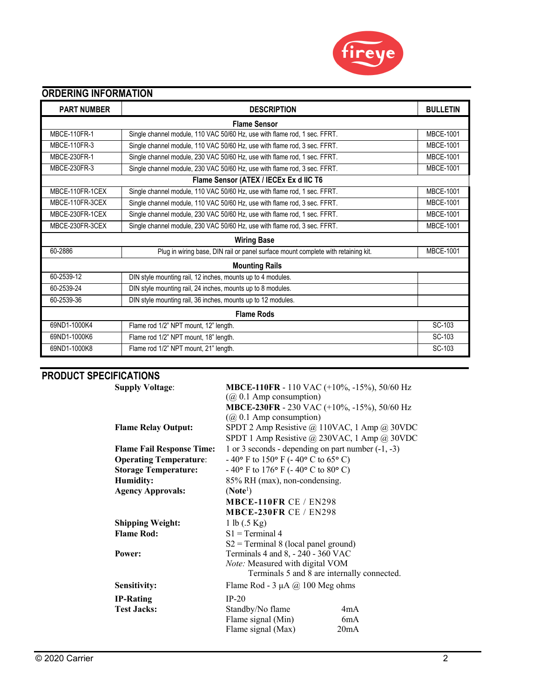

# **ORDERING INFORMATION**

| <b>PART NUMBER</b><br><b>DESCRIPTION</b> |                                                                                   |                  |  |  |
|------------------------------------------|-----------------------------------------------------------------------------------|------------------|--|--|
| <b>Flame Sensor</b>                      |                                                                                   |                  |  |  |
| <b>MBCE-110FR-1</b>                      | Single channel module, 110 VAC 50/60 Hz, use with flame rod, 1 sec. FFRT.         | <b>MBCE-1001</b> |  |  |
| <b>MBCE-110FR-3</b>                      | Single channel module, 110 VAC 50/60 Hz, use with flame rod, 3 sec. FFRT.         | <b>MBCE-1001</b> |  |  |
| <b>MBCE-230FR-1</b>                      | Single channel module, 230 VAC 50/60 Hz, use with flame rod, 1 sec. FFRT.         | <b>MBCE-1001</b> |  |  |
| MBCE-230FR-3                             | Single channel module, 230 VAC 50/60 Hz, use with flame rod, 3 sec. FFRT.         | <b>MBCE-1001</b> |  |  |
| Flame Sensor (ATEX / IECEx Ex d IIC T6   |                                                                                   |                  |  |  |
| MBCE-110FR-1CEX                          | Single channel module, 110 VAC 50/60 Hz, use with flame rod, 1 sec. FFRT.         | <b>MBCE-1001</b> |  |  |
| MBCE-110FR-3CEX                          | Single channel module, 110 VAC 50/60 Hz, use with flame rod, 3 sec. FFRT.         | <b>MBCE-1001</b> |  |  |
| MBCE-230FR-1CEX                          | Single channel module, 230 VAC 50/60 Hz, use with flame rod, 1 sec. FFRT.         | <b>MBCE-1001</b> |  |  |
| MBCE-230FR-3CEX                          | Single channel module, 230 VAC 50/60 Hz, use with flame rod, 3 sec. FFRT.         | <b>MBCE-1001</b> |  |  |
| <b>Wiring Base</b>                       |                                                                                   |                  |  |  |
| 60-2886                                  | Plug in wiring base, DIN rail or panel surface mount complete with retaining kit. | <b>MBCE-1001</b> |  |  |
| <b>Mounting Rails</b>                    |                                                                                   |                  |  |  |
| 60-2539-12                               | DIN style mounting rail, 12 inches, mounts up to 4 modules.                       |                  |  |  |
| 60-2539-24                               | DIN style mounting rail, 24 inches, mounts up to 8 modules.                       |                  |  |  |
| 60-2539-36                               | DIN style mounting rail, 36 inches, mounts up to 12 modules.                      |                  |  |  |
| <b>Flame Rods</b>                        |                                                                                   |                  |  |  |
| 69ND1-1000K4                             | Flame rod 1/2" NPT mount, 12" length.                                             | SC-103           |  |  |
| 69ND1-1000K6                             | Flame rod 1/2" NPT mount, 18" length.                                             | SC-103           |  |  |
| 69ND1-1000K8                             | Flame rod 1/2" NPT mount, 21" length.                                             |                  |  |  |

# **PRODUCT SPECIFICATIONS**

| <b>Supply Voltage:</b>           | MBCE-110FR - 110 VAC (+10%, -15%), 50/60 Hz                   |  |  |  |
|----------------------------------|---------------------------------------------------------------|--|--|--|
|                                  | $(Q0 0.1$ Amp consumption)                                    |  |  |  |
|                                  | MBCE-230FR - 230 VAC (+10%, -15%), 50/60 Hz                   |  |  |  |
|                                  | $(Q0 0.1$ Amp consumption)                                    |  |  |  |
| <b>Flame Relay Output:</b>       | SPDT 2 Amp Resistive $@110\text{VAC}$ , 1 Amp $@30\text{VDC}$ |  |  |  |
|                                  | SPDT 1 Amp Resistive @ 230VAC, 1 Amp @ 30VDC                  |  |  |  |
| <b>Flame Fail Response Time:</b> | 1 or 3 seconds - depending on part number $(-1, -3)$          |  |  |  |
| <b>Operating Temperature:</b>    | - 40° F to 150° F (- 40° C to 65° C)                          |  |  |  |
| <b>Storage Temperature:</b>      | - 40° F to 176° F (- 40° C to 80° C)                          |  |  |  |
| Humidity:                        | 85% RH (max), non-condensing.                                 |  |  |  |
| <b>Agency Approvals:</b>         | (Note <sup>1</sup> )                                          |  |  |  |
|                                  | <b>MBCE-110FR CE / EN298</b>                                  |  |  |  |
|                                  | <b>MBCE-230FR CE / EN298</b>                                  |  |  |  |
| <b>Shipping Weight:</b>          | 1 lb $(.5 \text{ Kg})$                                        |  |  |  |
| <b>Flame Rod:</b>                | $S1 = Terminal 4$                                             |  |  |  |
|                                  | $S2 = Terminal 8$ (local panel ground)                        |  |  |  |
| Power:                           | Terminals 4 and 8, - 240 - 360 VAC                            |  |  |  |
|                                  | Note: Measured with digital VOM                               |  |  |  |
|                                  | Terminals 5 and 8 are internally connected.                   |  |  |  |
| Sensitivity:                     | Flame Rod - $3 \mu A$ (a) 100 Meg ohms                        |  |  |  |
| <b>IP-Rating</b>                 | $IP-20$                                                       |  |  |  |
| <b>Test Jacks:</b>               | Standby/No flame<br>4mA                                       |  |  |  |
|                                  | Flame signal (Min)<br>6mA                                     |  |  |  |
|                                  | Flame signal (Max)<br>20mA                                    |  |  |  |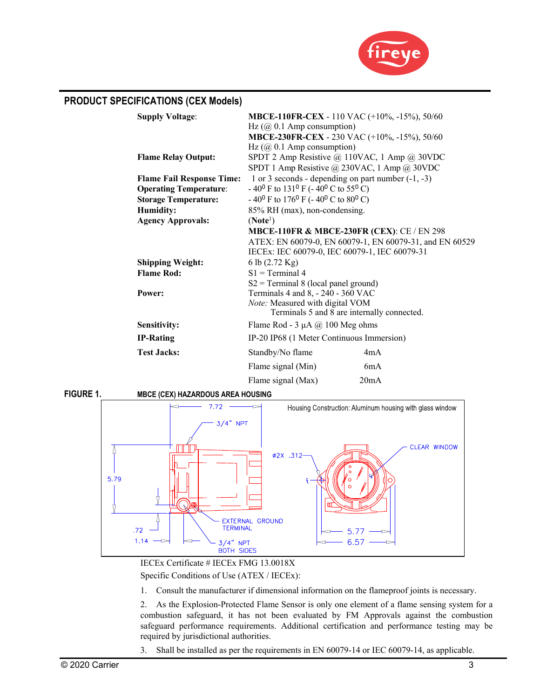

| <b>PRODUCT SPECIFICATIONS (CEX Models)</b>                                                       |                                                                                                                                                                                                            |  |
|--------------------------------------------------------------------------------------------------|------------------------------------------------------------------------------------------------------------------------------------------------------------------------------------------------------------|--|
| <b>Supply Voltage:</b>                                                                           | <b>MBCE-110FR-CEX</b> - 110 VAC (+10%, -15%), 50/60<br>Hz $(Q\ 0.1$ Amp consumption)<br>MBCE-230FR-CEX - 230 VAC (+10%, -15%), 50/60<br>Hz $(Q\ 0.1$ Amp consumption)                                      |  |
| <b>Flame Relay Output:</b>                                                                       | SPDT 2 Amp Resistive @ 110VAC, 1 Amp @ 30VDC<br>SPDT 1 Amp Resistive @ 230VAC, 1 Amp @ 30VDC                                                                                                               |  |
| <b>Flame Fail Response Time:</b><br><b>Operating Temperature:</b><br><b>Storage Temperature:</b> | 1 or 3 seconds - depending on part number $(-1, -3)$<br>$-40^0$ F to 131 <sup>0</sup> F ( $-40^0$ C to 55 <sup>0</sup> C)<br>$-40^{\circ}$ F to 176 <sup>0</sup> F ( $-40^{\circ}$ C to 80 <sup>0</sup> C) |  |
| <b>Humidity:</b><br><b>Agency Approvals:</b>                                                     | 85% RH (max), non-condensing.<br>(Note <sup>1</sup> )                                                                                                                                                      |  |
|                                                                                                  | <b>MBCE-110FR &amp; MBCE-230FR (CEX): CE / EN 298</b><br>ATEX: EN 60079-0, EN 60079-1, EN 60079-31, and EN 60529<br>IECEx: IEC 60079-0, IEC 60079-1, IEC 60079-31                                          |  |
| <b>Shipping Weight:</b><br><b>Flame Rod:</b>                                                     | 6 lb (2.72 Kg)<br>$S1 = Terminal 4$<br>$S2 = Terminal 8$ (local panel ground)                                                                                                                              |  |
| Power:                                                                                           | Terminals 4 and 8, - 240 - 360 VAC<br>Note: Measured with digital VOM<br>Terminals 5 and 8 are internally connected.                                                                                       |  |
| Sensitivity:                                                                                     | Flame Rod - $3 \mu A$ (a) 100 Meg ohms                                                                                                                                                                     |  |
| <b>IP-Rating</b>                                                                                 | IP-20 IP68 (1 Meter Continuous Immersion)                                                                                                                                                                  |  |
| <b>Test Jacks:</b>                                                                               | Standby/No flame<br>4mA                                                                                                                                                                                    |  |
|                                                                                                  | Flame signal (Min)<br>6mA                                                                                                                                                                                  |  |
|                                                                                                  | 20mA<br>Flame signal (Max)                                                                                                                                                                                 |  |

**FIGURE 1. MBCE (CEX) HAZARDOUS AREA HOUSING** 



IECEx Certificate # IECEx FMG 13.0018X Specific Conditions of Use (ATEX / IECEx):

1. Consult the manufacturer if dimensional information on the flameproof joints is necessary.

2. As the Explosion-Protected Flame Sensor is only one element of a flame sensing system for a combustion safeguard, it has not been evaluated by FM Approvals against the combustion safeguard performance requirements. Additional certification and performance testing may be required by jurisdictional authorities.

3. Shall be installed as per the requirements in EN 60079-14 or IEC 60079-14, as applicable.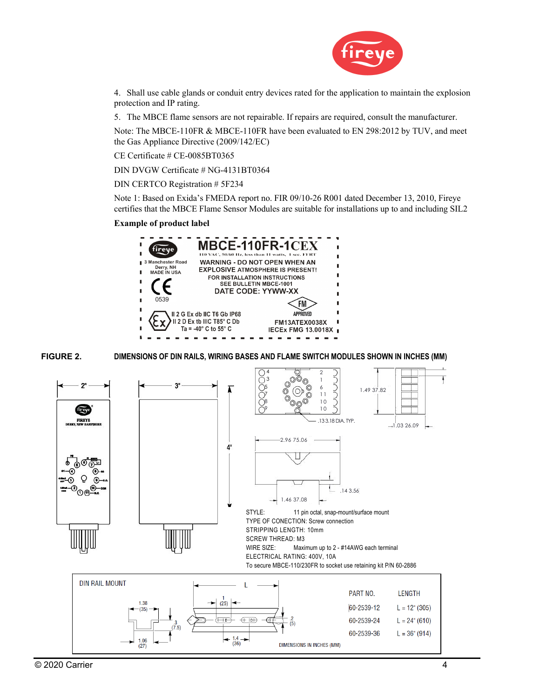

4. Shall use cable glands or conduit entry devices rated for the application to maintain the explosion protection and IP rating.

5. The MBCE flame sensors are not repairable. If repairs are required, consult the manufacturer.

Note: The MBCE-110FR & MBCE-110FR have been evaluated to EN 298:2012 by TUV, and meet the Gas Appliance Directive (2009/142/EC)

CE Certificate # CE-0085BT0365

DIN DVGW Certificate # NG-4131BT0364

DIN CERTCO Registration # 5F234

Note 1: Based on Exida's FMEDA report no. FIR 09/10-26 R001 dated December 13, 2010, Fireye certifies that the MBCE Flame Sensor Modules are suitable for installations up to and including SIL2

#### **Example of product label**



**FIGURE 2. DIMENSIONS OF DIN RAILS, WIRING BASES AND FLAME SWITCH MODULES SHOWN IN INCHES (MM)** 

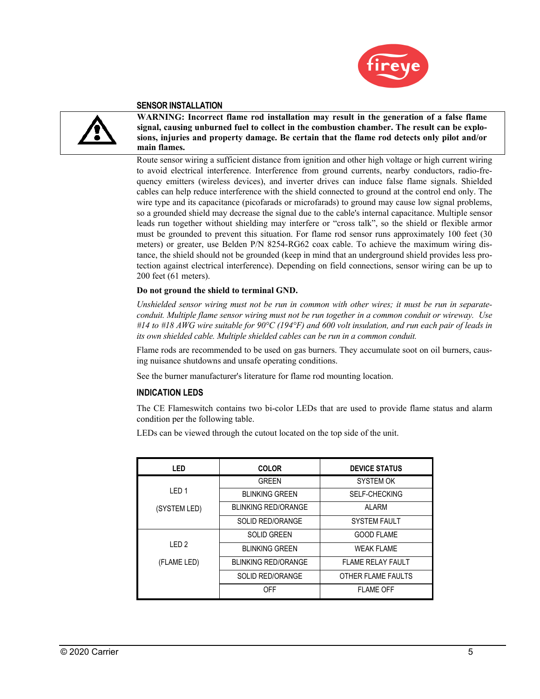



#### **SENSOR INSTALLATION**

**WARNING: Incorrect flame rod installation may result in the generation of a false flame signal, causing unburned fuel to collect in the combustion chamber. The result can be explosions, injuries and property damage. Be certain that the flame rod detects only pilot and/or main flames.** 

Route sensor wiring a sufficient distance from ignition and other high voltage or high current wiring to avoid electrical interference. Interference from ground currents, nearby conductors, radio-frequency emitters (wireless devices), and inverter drives can induce false flame signals. Shielded cables can help reduce interference with the shield connected to ground at the control end only. The wire type and its capacitance (picofarads or microfarads) to ground may cause low signal problems, so a grounded shield may decrease the signal due to the cable's internal capacitance. Multiple sensor leads run together without shielding may interfere or "cross talk", so the shield or flexible armor must be grounded to prevent this situation. For flame rod sensor runs approximately 100 feet (30 meters) or greater, use Belden P/N 8254-RG62 coax cable. To achieve the maximum wiring distance, the shield should not be grounded (keep in mind that an underground shield provides less protection against electrical interference). Depending on field connections, sensor wiring can be up to 200 feet (61 meters).

#### **Do not ground the shield to terminal GND.**

*Unshielded sensor wiring must not be run in common with other wires; it must be run in separateconduit. Multiple flame sensor wiring must not be run together in a common conduit or wireway. Use #14 to #18 AWG wire suitable for 90°C (194°F) and 600 volt insulation, and run each pair of leads in its own shielded cable. Multiple shielded cables can be run in a common conduit.* 

Flame rods are recommended to be used on gas burners. They accumulate soot on oil burners, causing nuisance shutdowns and unsafe operating conditions.

See the burner manufacturer's literature for flame rod mounting location.

### **INDICATION LEDS**

The CE Flameswitch contains two bi-color LEDs that are used to provide flame status and alarm condition per the following table.

LEDs can be viewed through the cutout located on the top side of the unit.

| <b>LED</b>       | <b>COLOR</b>               | <b>DEVICE STATUS</b>     |  |
|------------------|----------------------------|--------------------------|--|
|                  | <b>GREEN</b>               | <b>SYSTEM OK</b>         |  |
| IFD <sub>1</sub> | <b>BLINKING GREEN</b>      | <b>SELF-CHECKING</b>     |  |
| (SYSTEM LED)     | <b>BLINKING RED/ORANGE</b> | <b>ALARM</b>             |  |
|                  | <b>SOLID RED/ORANGE</b>    | <b>SYSTEM FAULT</b>      |  |
|                  | <b>SOLID GREEN</b>         | <b>GOOD FLAME</b>        |  |
| IFD <sub>2</sub> | <b>BLINKING GREEN</b>      | <b>WFAK FI AMF</b>       |  |
| (FLAME LED)      | <b>BLINKING RED/ORANGE</b> | <b>FLAME RELAY FAULT</b> |  |
|                  | <b>SOLID RED/ORANGE</b>    | OTHER FLAME FAULTS       |  |
|                  | OFF                        | <b>FLAME OFF</b>         |  |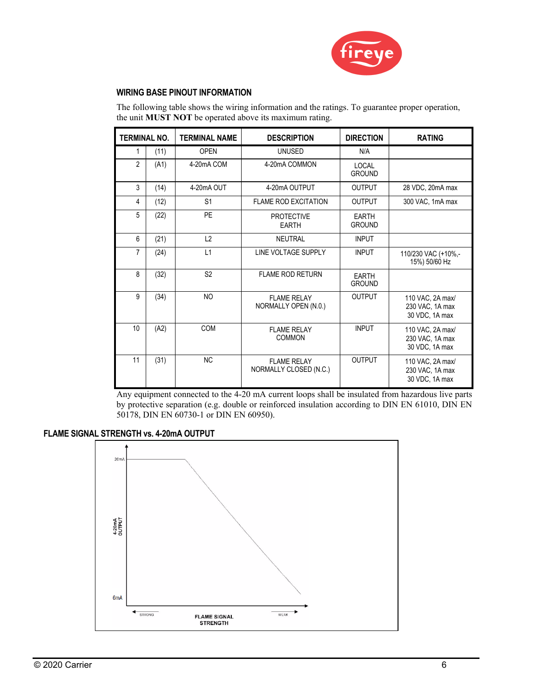

## **WIRING BASE PINOUT INFORMATION**

The following table shows the wiring information and the ratings. To guarantee proper operation, the unit **MUST NOT** be operated above its maximum rating.

| <b>TERMINAL NO.</b> |      | <b>TERMINAL NAME</b> | <b>DESCRIPTION</b>                           | <b>DIRECTION</b>              | <b>RATING</b>                                         |
|---------------------|------|----------------------|----------------------------------------------|-------------------------------|-------------------------------------------------------|
|                     | (11) | <b>OPFN</b>          | <b>UNUSED</b>                                | N/A                           |                                                       |
| $\overline{2}$      | (A1) | 4-20mA COM           | 4-20mA COMMON                                | LOCAL<br><b>GROUND</b>        |                                                       |
| 3                   | (14) | 4-20mA OUT           | 4-20mA OUTPUT                                | <b>OUTPUT</b>                 | 28 VDC, 20mA max                                      |
| 4                   | (12) | S <sub>1</sub>       | <b>FLAME ROD EXCITATION</b>                  | <b>OUTPUT</b>                 | 300 VAC, 1mA max                                      |
| 5                   | (22) | <b>PF</b>            | <b>PROTECTIVE</b><br><b>EARTH</b>            | EARTH<br><b>GROUND</b>        |                                                       |
| 6                   | (21) | L2                   | <b>NEUTRAL</b>                               | <b>INPUT</b>                  |                                                       |
| 7                   | (24) | L1                   | LINE VOLTAGE SUPPLY                          | <b>INPUT</b>                  | 110/230 VAC (+10%,-<br>15%) 50/60 Hz                  |
| 8                   | (32) | S <sub>2</sub>       | <b>FLAME ROD RETURN</b>                      | <b>EARTH</b><br><b>GROUND</b> |                                                       |
| 9                   | (34) | <b>NO</b>            | <b>FLAME RELAY</b><br>NORMALLY OPEN (N.O.)   | <b>OUTPUT</b>                 | 110 VAC, 2A max/<br>230 VAC, 1A max<br>30 VDC, 1A max |
| 10                  | (A2) | COM                  | <b>FLAME RELAY</b><br><b>COMMON</b>          | <b>INPUT</b>                  | 110 VAC, 2A max/<br>230 VAC, 1A max<br>30 VDC, 1A max |
| 11                  | (31) | <b>NC</b>            | <b>FLAME RELAY</b><br>NORMALLY CLOSED (N.C.) | <b>OUTPUT</b>                 | 110 VAC, 2A max/<br>230 VAC, 1A max<br>30 VDC, 1A max |

Any equipment connected to the 4-20 mA current loops shall be insulated from hazardous live parts by protective separation (e.g. double or reinforced insulation according to DIN EN 61010, DIN EN 50178, DIN EN 60730-1 or DIN EN 60950).

## **FLAME SIGNAL STRENGTH vs. 4-20mA OUTPUT**

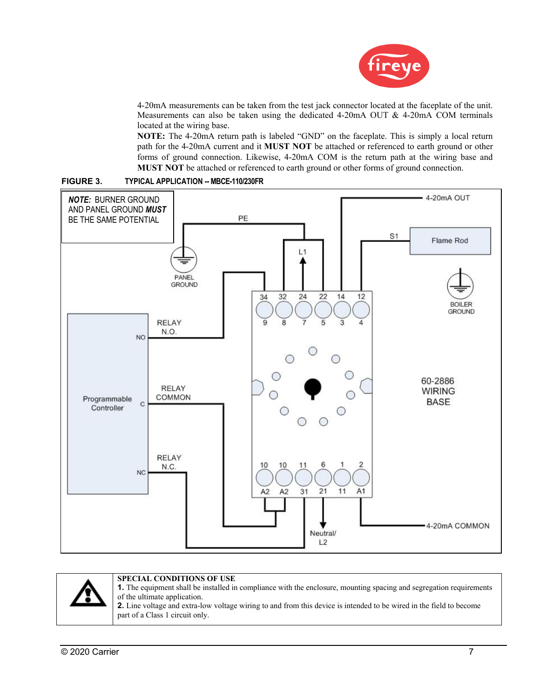

4-20mA measurements can be taken from the test jack connector located at the faceplate of the unit. Measurements can also be taken using the dedicated 4-20mA OUT & 4-20mA COM terminals located at the wiring base.

**NOTE:** The 4-20mA return path is labeled "GND" on the faceplate. This is simply a local return path for the 4-20mA current and it **MUST NOT** be attached or referenced to earth ground or other forms of ground connection. Likewise, 4-20mA COM is the return path at the wiring base and **MUST NOT** be attached or referenced to earth ground or other forms of ground connection.



#### **FIGURE 3. TYPICAL APPLICATION -- MBCE-110/230FR**

### **SPECIAL CONDITIONS OF USE**

**1.** The equipment shall be installed in compliance with the enclosure, mounting spacing and segregation requirements of the ultimate application.

**2.** Line voltage and extra-low voltage wiring to and from this device is intended to be wired in the field to become part of a Class 1 circuit only.